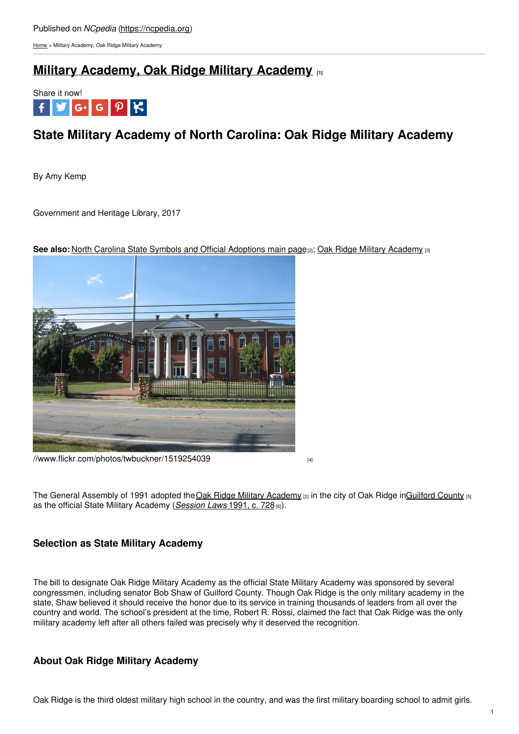[Home](https://ncpedia.org/) > Military Academy, Oak Ridge Military Academy

# **Military [Academy,](https://ncpedia.org/military-academy-oak-ridge-military) Oak Ridge Military Academy [1]**



# **State Military Academy of North Carolina: Oak Ridge Military Academy**

By Amy Kemp

Government and Heritage Library, 2017



**See also:** North Carolina State Symbols and Official [Adoptions](https://ncpedia.org/symbols) main page[2]; Oak Ridge Military [Academy](https://ncpedia.org/oak-ridge-military-academy) [3]

[//www.flickr.com/photos/twbuckner/1519254039](https://www.flickr.com/photos/twbuckner/1519254039)

The General Assembly of 1991 adopted the Oak Ridge Military [Academy](https://ncpedia.org/oak-ridge-military-academy) [3] in the city of Oak Ridge i[nGuilford](https://ncpedia.org/geography/guilford) County [5] as the official State Military Academy (*[Session](https://www.ncleg.net/EnactedLegislation/SessionLaws/HTML/1991-1992/SL1991-728.html) Laws* 1991, c. 728 [6]).

## **Selection as State Military Academy**

The bill to designate Oak Ridge Military Academy as the official State Military Academy was sponsored by several congressmen, including senator Bob Shaw of Guilford County. Though Oak Ridge is the only military academy in the state, Shaw believed it should receive the honor due to its service in training thousands of leaders from all over the country and world. The school's president at the time, Robert R. Rossi, claimed the fact that Oak Ridge was the only military academy left after all others failed was precisely why it deserved the recognition.

## **About Oak Ridge Military Academy**

Oak Ridge is the third oldest military high school in the country, and was the first military boarding school to admit girls.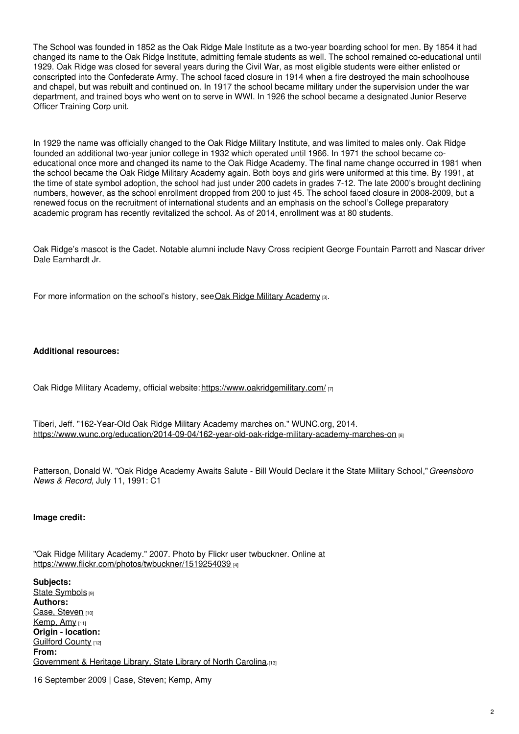The School was founded in 1852 as the Oak Ridge Male Institute as a two-year boarding school for men. By 1854 it had changed its name to the Oak Ridge Institute, admitting female students as well. The school remained co-educational until 1929. Oak Ridge was closed for several years during the Civil War, as most eligible students were either enlisted or conscripted into the Confederate Army. The school faced closure in 1914 when a fire destroyed the main schoolhouse and chapel, but was rebuilt and continued on. In 1917 the school became military under the supervision under the war department, and trained boys who went on to serve in WWI. In 1926 the school became a designated Junior Reserve Officer Training Corp unit.

In 1929 the name was officially changed to the Oak Ridge Military Institute, and was limited to males only. Oak Ridge founded an additional two-year junior college in 1932 which operated until 1966. In 1971 the school became coeducational once more and changed its name to the Oak Ridge Academy. The final name change occurred in 1981 when the school became the Oak Ridge Military Academy again. Both boys and girls were uniformed at this time. By 1991, at the time of state symbol adoption, the school had just under 200 cadets in grades 7-12. The late 2000's brought declining numbers, however, as the school enrollment dropped from 200 to just 45. The school faced closure in 2008-2009, but a renewed focus on the recruitment of international students and an emphasis on the school's College preparatory academic program has recently revitalized the school. As of 2014, enrollment was at 80 students.

Oak Ridge's mascot is the Cadet. Notable alumni include Navy Cross recipient George Fountain Parrott and Nascar driver Dale Earnhardt Jr.

For more information on the school's history, see Oak Ridge Military [Academy](https://ncpedia.org/oak-ridge-military-academy) [3].

### **Additional resources:**

Oak Ridge Military Academy, official website: <https://www.oakridgemilitary.com/> [7]

Tiberi, Jeff. "162-Year-Old Oak Ridge Military Academy marches on." WUNC.org, 2014. <https://www.wunc.org/education/2014-09-04/162-year-old-oak-ridge-military-academy-marches-on> [8]

Patterson, Donald W. "Oak Ridge Academy Awaits Salute - Bill Would Declare it the State Military School,"*Greensboro News & Record*, July 11, 1991: C1

### **Image credit:**

"Oak Ridge Military Academy." 2007. Photo by Flickr user twbuckner. Online at <https://www.flickr.com/photos/twbuckner/1519254039> [4]

**Subjects:** State [Symbols](https://ncpedia.org/category/subjects/state-symbol) [9] **Authors:** Case, [Steven](https://ncpedia.org/category/authors/case-steven) [10] [Kemp,](https://ncpedia.org/category/authors/kemp-amy) Amy [11] **Origin - location:** [Guilford](https://ncpedia.org/category/origin-location/piedmont-4) County [12] **From:** [Government](https://ncpedia.org/category/entry-source/government) & Heritage Library, State Library of North Carolina.[13]

16 September 2009 | Case, Steven; Kemp, Amy